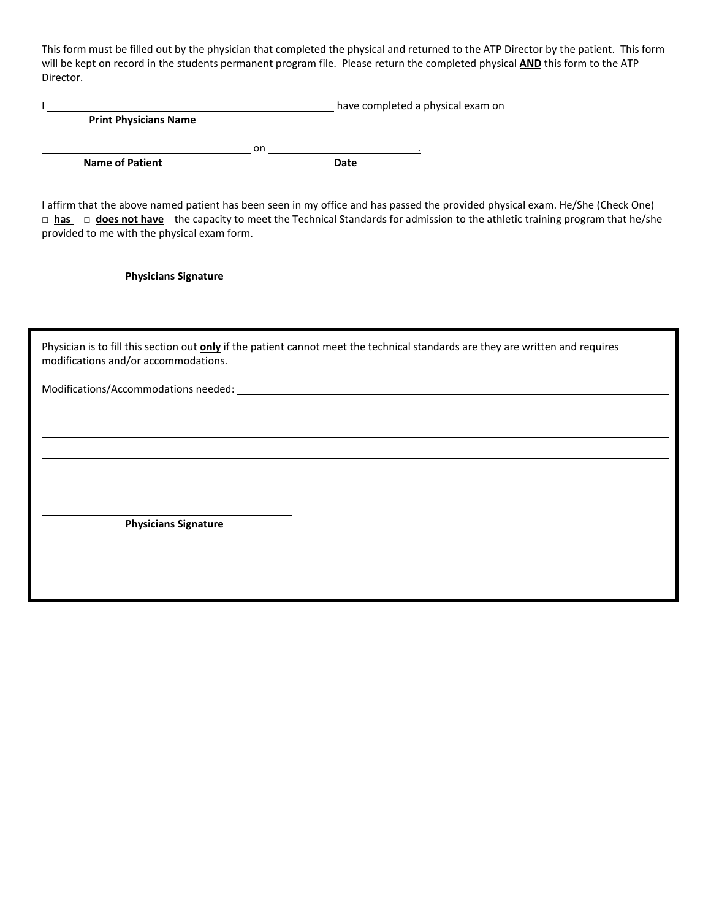This form must be filled out by the physician that completed the physical and returned to the ATP Director by the patient. This form will be kept on record in the students permanent program file. Please return the completed physical **AND** this form to the ATP Director.

|                              |    | have completed a physical exam on |  |
|------------------------------|----|-----------------------------------|--|
| <b>Print Physicians Name</b> |    |                                   |  |
|                              | on |                                   |  |
| <b>Name of Patient</b>       |    | Date                              |  |
|                              |    |                                   |  |

I affirm that the above named patient has been seen in my office and has passed the provided physical exam. He/She (Check One) □ **has** □ **does not have** the capacity to meet the Technical Standards for admission to the athletic training program that he/she provided to me with the physical exam form.

**Physicians Signature**

Physician is to fill this section out **only** if the patient cannot meet the technical standards are they are written and requires modifications and/or accommodations.

Modifications/Accommodations needed:

**Physicians Signature**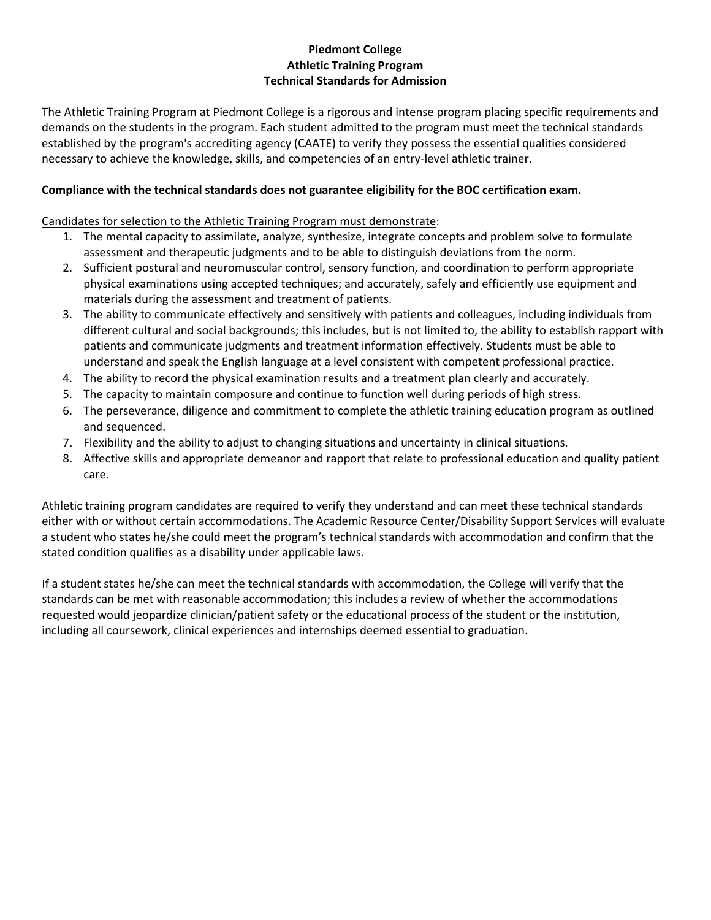### **Piedmont College Athletic Training Program Technical Standards for Admission**

The Athletic Training Program at Piedmont College is a rigorous and intense program placing specific requirements and demands on the students in the program. Each student admitted to the program must meet the technical standards established by the program's accrediting agency (CAATE) to verify they possess the essential qualities considered necessary to achieve the knowledge, skills, and competencies of an entry-level athletic trainer.

## **Compliance with the technical standards does not guarantee eligibility for the BOC certification exam.**

### Candidates for selection to the Athletic Training Program must demonstrate:

- 1. The mental capacity to assimilate, analyze, synthesize, integrate concepts and problem solve to formulate assessment and therapeutic judgments and to be able to distinguish deviations from the norm.
- 2. Sufficient postural and neuromuscular control, sensory function, and coordination to perform appropriate physical examinations using accepted techniques; and accurately, safely and efficiently use equipment and materials during the assessment and treatment of patients.
- 3. The ability to communicate effectively and sensitively with patients and colleagues, including individuals from different cultural and social backgrounds; this includes, but is not limited to, the ability to establish rapport with patients and communicate judgments and treatment information effectively. Students must be able to understand and speak the English language at a level consistent with competent professional practice.
- 4. The ability to record the physical examination results and a treatment plan clearly and accurately.
- 5. The capacity to maintain composure and continue to function well during periods of high stress.
- 6. The perseverance, diligence and commitment to complete the athletic training education program as outlined and sequenced.
- 7. Flexibility and the ability to adjust to changing situations and uncertainty in clinical situations.
- 8. Affective skills and appropriate demeanor and rapport that relate to professional education and quality patient care.

Athletic training program candidates are required to verify they understand and can meet these technical standards either with or without certain accommodations. The Academic Resource Center/Disability Support Services will evaluate a student who states he/she could meet the program's technical standards with accommodation and confirm that the stated condition qualifies as a disability under applicable laws.

If a student states he/she can meet the technical standards with accommodation, the College will verify that the standards can be met with reasonable accommodation; this includes a review of whether the accommodations requested would jeopardize clinician/patient safety or the educational process of the student or the institution, including all coursework, clinical experiences and internships deemed essential to graduation.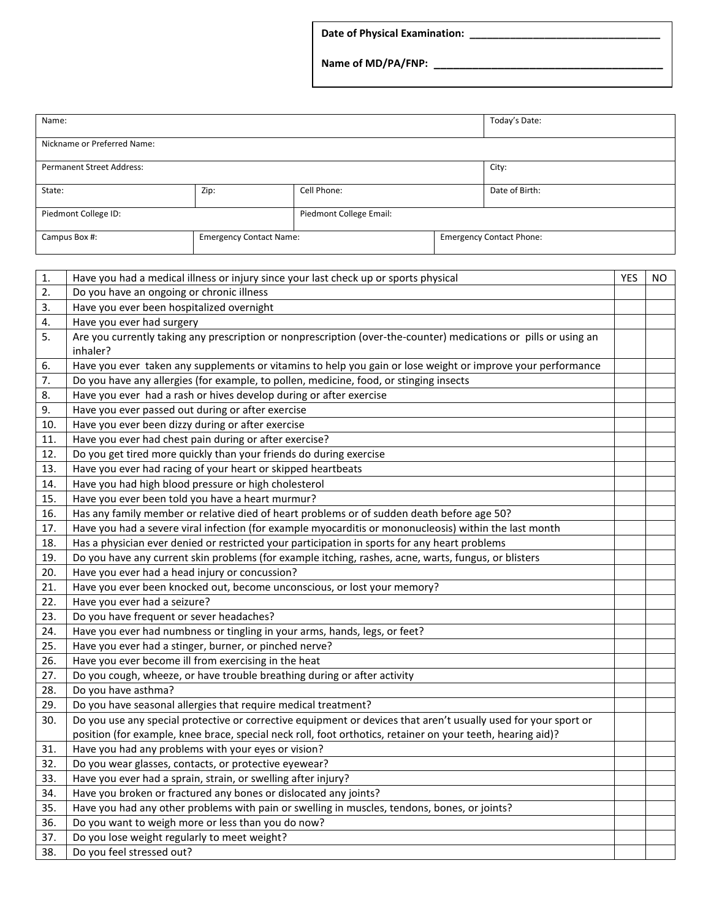**Date of Physical Examination: \_\_\_\_\_\_\_\_\_\_\_\_\_\_\_\_\_\_\_\_\_\_\_\_\_\_\_\_\_\_\_\_\_** 

**Name of MD/PA/FNP: \_\_\_\_\_\_\_\_\_\_\_\_\_\_\_\_\_\_\_\_\_\_\_\_\_\_\_\_\_\_\_\_\_\_\_\_**

| Name:                                           |      |                         |  | Today's Date:                   |
|-------------------------------------------------|------|-------------------------|--|---------------------------------|
|                                                 |      |                         |  |                                 |
| Nickname or Preferred Name:                     |      |                         |  |                                 |
|                                                 |      |                         |  |                                 |
| <b>Permanent Street Address:</b>                |      |                         |  | City:                           |
|                                                 |      |                         |  |                                 |
| State:                                          | Zip: | Cell Phone:             |  | Date of Birth:                  |
|                                                 |      |                         |  |                                 |
| Piedmont College ID:                            |      | Piedmont College Email: |  |                                 |
|                                                 |      |                         |  |                                 |
| <b>Emergency Contact Name:</b><br>Campus Box #: |      |                         |  | <b>Emergency Contact Phone:</b> |
|                                                 |      |                         |  |                                 |

| 1.  | Have you had a medical illness or injury since your last check up or sports physical                             | <b>YES</b> | NO. |  |
|-----|------------------------------------------------------------------------------------------------------------------|------------|-----|--|
| 2.  | Do you have an ongoing or chronic illness                                                                        |            |     |  |
| 3.  | Have you ever been hospitalized overnight                                                                        |            |     |  |
| 4.  | Have you ever had surgery                                                                                        |            |     |  |
| 5.  | Are you currently taking any prescription or nonprescription (over-the-counter) medications or pills or using an |            |     |  |
|     | inhaler?                                                                                                         |            |     |  |
| 6.  | Have you ever taken any supplements or vitamins to help you gain or lose weight or improve your performance      |            |     |  |
| 7.  | Do you have any allergies (for example, to pollen, medicine, food, or stinging insects                           |            |     |  |
| 8.  | Have you ever had a rash or hives develop during or after exercise                                               |            |     |  |
| 9.  | Have you ever passed out during or after exercise                                                                |            |     |  |
| 10. | Have you ever been dizzy during or after exercise                                                                |            |     |  |
| 11. | Have you ever had chest pain during or after exercise?                                                           |            |     |  |
| 12. | Do you get tired more quickly than your friends do during exercise                                               |            |     |  |
| 13. | Have you ever had racing of your heart or skipped heartbeats                                                     |            |     |  |
| 14. | Have you had high blood pressure or high cholesterol                                                             |            |     |  |
| 15. | Have you ever been told you have a heart murmur?                                                                 |            |     |  |
| 16. | Has any family member or relative died of heart problems or of sudden death before age 50?                       |            |     |  |
| 17. | Have you had a severe viral infection (for example myocarditis or mononucleosis) within the last month           |            |     |  |
| 18. | Has a physician ever denied or restricted your participation in sports for any heart problems                    |            |     |  |
| 19. | Do you have any current skin problems (for example itching, rashes, acne, warts, fungus, or blisters             |            |     |  |
| 20. | Have you ever had a head injury or concussion?                                                                   |            |     |  |
| 21. | Have you ever been knocked out, become unconscious, or lost your memory?                                         |            |     |  |
| 22. | Have you ever had a seizure?                                                                                     |            |     |  |
| 23. | Do you have frequent or sever headaches?                                                                         |            |     |  |
| 24. | Have you ever had numbness or tingling in your arms, hands, legs, or feet?                                       |            |     |  |
| 25. | Have you ever had a stinger, burner, or pinched nerve?                                                           |            |     |  |
| 26. | Have you ever become ill from exercising in the heat                                                             |            |     |  |
| 27. | Do you cough, wheeze, or have trouble breathing during or after activity                                         |            |     |  |
| 28. | Do you have asthma?                                                                                              |            |     |  |
| 29. | Do you have seasonal allergies that require medical treatment?                                                   |            |     |  |
| 30. | Do you use any special protective or corrective equipment or devices that aren't usually used for your sport or  |            |     |  |
|     | position (for example, knee brace, special neck roll, foot orthotics, retainer on your teeth, hearing aid)?      |            |     |  |
| 31. | Have you had any problems with your eyes or vision?                                                              |            |     |  |
| 32. | Do you wear glasses, contacts, or protective eyewear?                                                            |            |     |  |
| 33. | Have you ever had a sprain, strain, or swelling after injury?                                                    |            |     |  |
| 34. | Have you broken or fractured any bones or dislocated any joints?                                                 |            |     |  |
| 35. | Have you had any other problems with pain or swelling in muscles, tendons, bones, or joints?                     |            |     |  |
| 36. | Do you want to weigh more or less than you do now?                                                               |            |     |  |
| 37. | Do you lose weight regularly to meet weight?                                                                     |            |     |  |
| 38. | Do you feel stressed out?                                                                                        |            |     |  |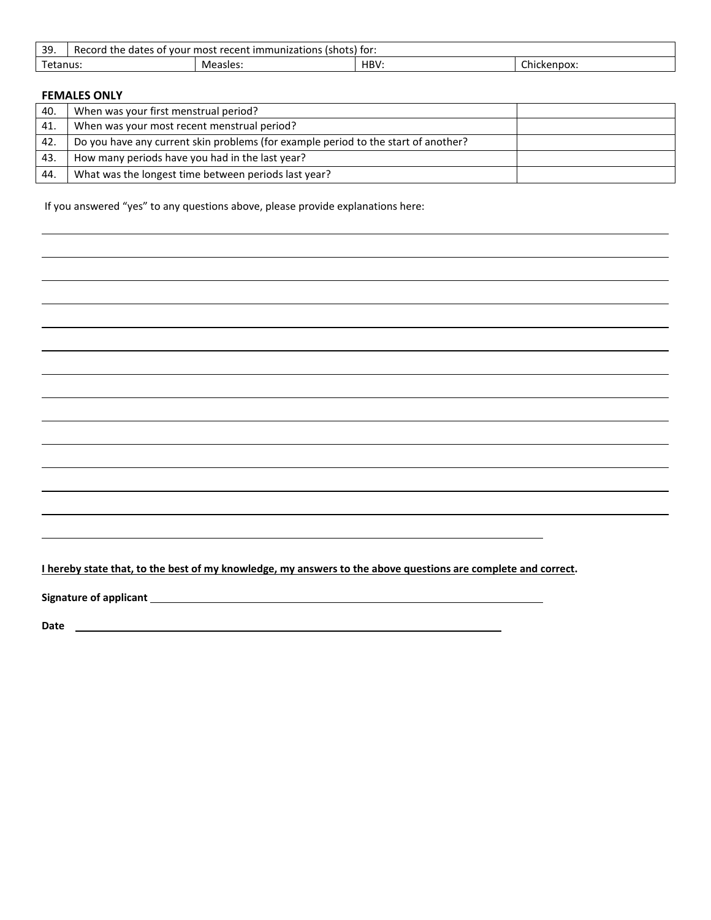| 30<br><b>. ب</b>  | immunizations<br>(shots) for:<br>the<br>'ecord<br>recent<br>most<br>5.5<br>. vour<br>. dater<br>- 01<br>ĸe |          |             |                       |  |
|-------------------|------------------------------------------------------------------------------------------------------------|----------|-------------|-----------------------|--|
| $\sim$<br>ētanus. |                                                                                                            | Measles: | ப்ம<br>TDV. | $\sim$<br>Chickenpox: |  |

#### **FEMALES ONLY**

| 40. | When was your first menstrual period?                                              |  |
|-----|------------------------------------------------------------------------------------|--|
| 41. | When was your most recent menstrual period?                                        |  |
| 42. | Do you have any current skin problems (for example period to the start of another? |  |
| 43. | How many periods have you had in the last year?                                    |  |
| 44. | What was the longest time between periods last year?                               |  |

If you answered "yes" to any questions above, please provide explanations here:

**I hereby state that, to the best of my knowledge, my answers to the above questions are complete and correct.**

**Signature of applicant**

**Date**